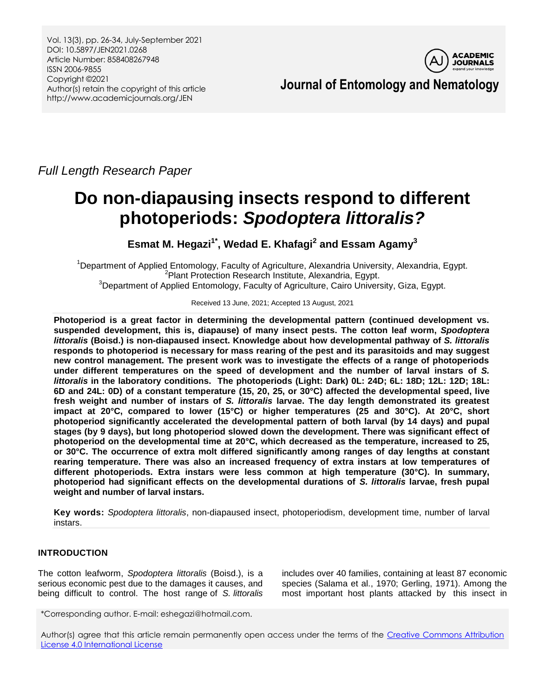Vol. 13(3), pp. 26-34, July-September 2021 DOI: 10.5897/JEN2021.0268 Article Number: 858408267948 ISSN 2006-9855 Copyright ©2021 Author(s) retain the copyright of this article http://www.academicjournals.org/JEN



 **Journal of Entomology and Nematology**

*Full Length Research Paper*

# **Do non-diapausing insects respond to different photoperiods:** *Spodoptera littoralis?*

**Esmat M. Hegazi1\* , Wedad E. Khafagi<sup>2</sup> and Essam Agamy<sup>3</sup>**

<sup>1</sup>Department of Applied Entomology, Faculty of Agriculture, Alexandria University, Alexandria, Egypt. <sup>2</sup> Plant Protection Research Institute, Alexandria, Egypt. <sup>3</sup>Department of Applied Entomology, Faculty of Agriculture, Cairo University, Giza, Egypt.

Received 13 June, 2021; Accepted 13 August, 2021

**Photoperiod is a great factor in determining the developmental pattern (continued development vs. suspended development, this is, diapause) of many insect pests. The cotton leaf worm,** *Spodoptera littoralis* **(Boisd.) is non-diapaused insect. Knowledge about how developmental pathway of** *S. littoralis* **responds to photoperiod is necessary for mass rearing of the pest and its parasitoids and may suggest new control management. The present work was to investigate the effects of a range of photoperiods under different temperatures on the speed of development and the number of larval instars of** *S. littoralis* **in the laboratory conditions. The photoperiods (Light: Dark) 0L: 24D; 6L: 18D; 12L: 12D; 18L: 6D and 24L: 0D) of a constant temperature (15, 20, 25, or 30°C) affected the developmental speed, live fresh weight and number of instars of** *S. littoralis* **larvae. The day length demonstrated its greatest impact at 20°C, compared to lower (15°C) or higher temperatures (25 and 30°C). At 20°C, short photoperiod significantly accelerated the developmental pattern of both larval (by 14 days) and pupal stages (by 9 days), but long photoperiod slowed down the development. There was significant effect of photoperiod on the developmental time at 20°C, which decreased as the temperature, increased to 25, or 30°C. The occurrence of extra molt differed significantly among ranges of day lengths at constant rearing temperature. There was also an increased frequency of extra instars at low temperatures of different photoperiods. Extra instars were less common at high temperature (30°C). In summary, photoperiod had significant effects on the developmental durations of** *S. littoralis* **larvae, fresh pupal weight and number of larval instars.**

**Key words:** *Spodoptera littoralis*, non-diapaused insect, photoperiodism, development time, number of larval instars.

# **INTRODUCTION**

The cotton leafworm, *Spodoptera littoralis* (Boisd.), is a serious economic pest due to the damages it causes, and being difficult to control. The host range of *S. littoralis*

includes over 40 families, containing at least 87 economic species (Salama et al., 1970; Gerling, 1971). Among the most important host plants attacked by this insect in

\*Corresponding author. E-mail: eshegazi@hotmail.com.

Author(s) agree that this article remain permanently open access under the terms of the Creative Commons Attribution [License 4.0 International License](http://creativecommons.org/licenses/by/4.0/deed.en_US)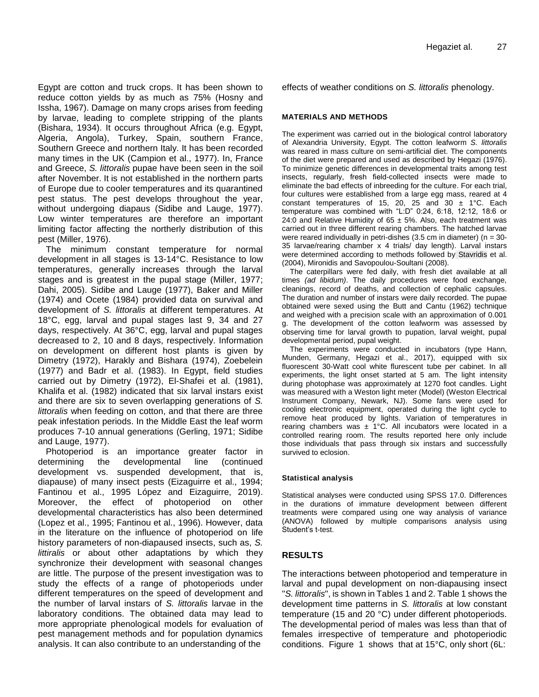Egypt are cotton and truck crops. It has been shown to reduce cotton yields by as much as 75% (Hosny and Issha, 1967). Damage on many crops arises from feeding by larvae, leading to complete stripping of the plants (Bishara, 1934). It occurs throughout Africa (e.g. Egypt, Algeria, Angola), Turkey, Spain, southern France, Southern Greece and northern Italy. It has been recorded many times in the UK (Campion et al., 1977). In, France and Greece, *S. littoralis* pupae have been seen in the soil after November. It is not established in the northern parts of Europe due to cooler temperatures and its quarantined pest status. The pest develops throughout the year, without undergoing diapaus (Sidibe and Lauge, 1977). Low winter temperatures are therefore an important limiting factor affecting the northerly distribution of this pest (Miller, 1976).

The minimum constant temperature for normal development in all stages is 13-14°C. Resistance to low temperatures, generally increases through the larval stages and is greatest in the pupal stage (Miller, 1977; Dahi, 2005). Sidibe and Lauge (1977), Baker and Miller (1974) and Ocete (1984) provided data on survival and development of *S. littoralis* at different temperatures. At 18°C, egg, larval and pupal stages last 9, 34 and 27 days, respectively. At 36°C, egg, larval and pupal stages decreased to 2, 10 and 8 days, respectively. Information on development on different host plants is given by Dimetry (1972), Harakly and Bishara (1974), Zoebelein (1977) and Badr et al. (1983). In Egypt, field studies carried out by Dimetry (1972), El-Shafei et al. (1981), Khalifa et al. (1982) indicated that six larval instars exist and there are six to seven overlapping generations of *S. littoralis* when feeding on cotton, and that there are three peak infestation periods. In the Middle East the leaf worm produces 7-10 annual generations (Gerling, 1971; Sidibe and Lauge, 1977).

Photoperiod is an importance greater factor in determining the developmental line (continued development vs. suspended development, that is, diapause) of many insect pests (Eizaguirre et al., 1994; Fantinou et al., 1995 López and Eizaguirre, 2019). Moreover, the effect of photoperiod on other developmental characteristics has also been determined (Lopez et al., 1995; Fantinou et al., 1996). However, data in the literature on the influence of photoperiod on life history parameters of non-diapaused insects, such as, *S. littiralis* or about other adaptations by which they synchronize their development with seasonal changes are little. The purpose of the present investigation was to study the effects of a range of photoperiods under different temperatures on the speed of development and the number of larval instars of *S. littoralis* larvae in the laboratory conditions. The obtained data may lead to more appropriate phenological models for evaluation of pest management methods and for population dynamics analysis. It can also contribute to an understanding of the

effects of weather conditions on *S. littoralis* phenology.

### **MATERIALS AND METHODS**

The experiment was carried out in the biological control laboratory of Alexandria University, Egypt. The cotton leafworm *S. littoralis* was reared in mass culture on semi-artificial diet. The components of the diet were prepared and used as described by Hegazi (1976). To minimize genetic differences in developmental traits among test insects, regularly, fresh field-collected insects were made to eliminate the bad effects of inbreeding for the culture. For each trial, four cultures were established from a large egg mass, reared at 4 constant temperatures of 15, 20, 25 and 30  $\pm$  1°C. Each temperature was combined with "L:D" 0:24, 6:18, 12:12, 18:6 or 24:0 and Relative Humidity of 65  $\pm$  5%. Also, each treatment was carried out in three different rearing chambers. The hatched larvae were reared individually in petri-dishes  $(3.5 \text{ cm})$  in diameter)  $(n = 30 - 1)$ 35 larvae/rearing chamber x 4 trials/ day length). Larval instars were determined according to methods followed by Stavridis et al. (2004), Mironidis and Savopoulou-Soultani (2008).

The caterpillars were fed daily, with fresh diet available at all times *(ad libidum)*. The daily procedures were food exchange, cleanings, record of deaths, and collection of cephalic capsules. The duration and number of instars were daily recorded. The pupae obtained were sexed using the Butt and Cantu (1962) technique and weighed with a precision scale with an approximation of 0.001 g. The development of the cotton leafworm was assessed by observing time for larval growth to pupation, larval weight, pupal developmental period, pupal weight.

The experiments were conducted in incubators (type Hann, Munden, Germany, Hegazi et al., 2017), equipped with six fluorescent 30-Watt cool white flurescent tube per cabinet. In all experiments, the light onset started at 5 am. The light intensity during photophase was approximately at 1270 foot candles. Light was measured with a Weston light meter (Model) (Weston Electrical Instrument Company, Newark, NJ). Some fans were used for cooling electronic equipment, operated during the light cycle to remove heat produced by lights. Variation of temperatures in rearing chambers was  $\pm$  1°C. All incubators were located in a controlled rearing room. The results reported here only include those individuals that pass through six instars and successfully survived to eclosion.

#### **Statistical analysis**

Statistical analyses were conducted using SPSS 17.0. Differences in the durations of immature development between different treatments were compared using one way analysis of variance (ANOVA) followed by multiple comparisons analysis using Student's t-test.

## **RESULTS**

The interactions between photoperiod and temperature in larval and pupal development on non-diapausing insect "*S. littoralis*", is shown in Tables 1 and 2. Table 1 shows the development time patterns in *S. littoralis* at low constant temperature (15 and 20 °C) under different photoperiods. The developmental period of males was less than that of females irrespective of temperature and photoperiodic conditions. Figure 1 shows that at 15°C, only short (6L: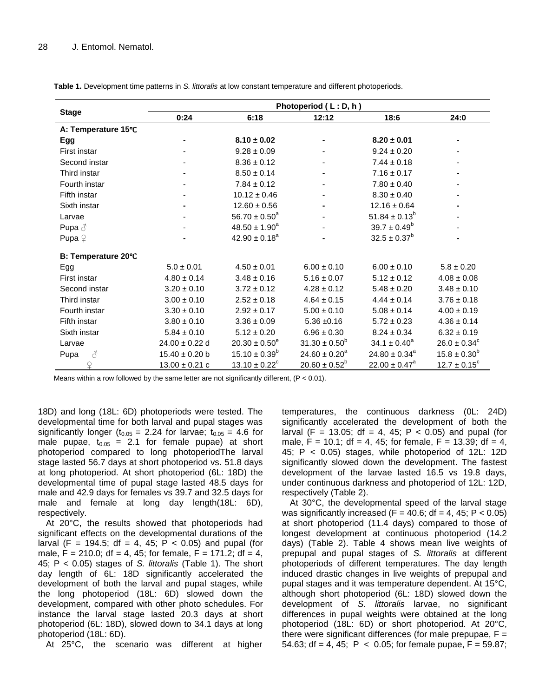|                     | Photoperiod (L:D, h) |                          |                    |                               |                         |  |  |  |
|---------------------|----------------------|--------------------------|--------------------|-------------------------------|-------------------------|--|--|--|
| <b>Stage</b>        | 0:24                 | 6:18                     | 12:12              | 18:6                          | 24:0                    |  |  |  |
| A: Temperature 15°C |                      |                          |                    |                               |                         |  |  |  |
| Egg                 |                      | $8.10 \pm 0.02$          |                    | $8.20 \pm 0.01$               |                         |  |  |  |
| First instar        |                      | $9.28 \pm 0.09$          |                    | $9.24 \pm 0.20$               |                         |  |  |  |
| Second instar       |                      | $8.36 \pm 0.12$          |                    | $7.44 \pm 0.18$               |                         |  |  |  |
| Third instar        |                      | $8.50 \pm 0.14$          |                    | $7.16 \pm 0.17$               |                         |  |  |  |
| Fourth instar       |                      | $7.84 \pm 0.12$          |                    | $7.80 \pm 0.40$               |                         |  |  |  |
| Fifth instar        |                      | $10.12 \pm 0.46$         |                    | $8.30 \pm 0.40$               |                         |  |  |  |
| Sixth instar        |                      | $12.60 \pm 0.56$         |                    | $12.16 \pm 0.64$              |                         |  |  |  |
| Larvae              |                      | $56.70 \pm 0.50^a$       |                    | $51.84 \pm 0.13^b$            |                         |  |  |  |
| Pupa $\delta$       |                      | $48.50 \pm 1.90^a$       |                    | $39.7 \pm 0.49^b$             |                         |  |  |  |
| Pupa $\varphi$      |                      | $42.90 \pm 0.18^a$       |                    | $32.5 \pm 0.37^b$             |                         |  |  |  |
| B: Temperature 20°C |                      |                          |                    |                               |                         |  |  |  |
| Egg                 | $5.0 \pm 0.01$       | $4.50 \pm 0.01$          | $6.00 \pm 0.10$    | $6.00 \pm 0.10$               | $5.8 \pm 0.20$          |  |  |  |
| First instar        | $4.80 \pm 0.14$      | $3.48 \pm 0.16$          | $5.16 \pm 0.07$    | $5.12 \pm 0.12$               | $4.08 \pm 0.08$         |  |  |  |
| Second instar       | $3.20 \pm 0.10$      | $3.72 \pm 0.12$          | $4.28 \pm 0.12$    | $5.48 \pm 0.20$               | $3.48 \pm 0.10$         |  |  |  |
| Third instar        | $3.00 \pm 0.10$      | $2.52 \pm 0.18$          | $4.64 \pm 0.15$    | $4.44 \pm 0.14$               | $3.76 \pm 0.18$         |  |  |  |
| Fourth instar       | $3.30 \pm 0.10$      | $2.92 \pm 0.17$          | $5.00 \pm 0.10$    | $5.08 \pm 0.14$               | $4.00 \pm 0.19$         |  |  |  |
| Fifth instar        | $3.80 \pm 0.10$      | $3.36 \pm 0.09$          | $5.36 \pm 0.16$    | $5.72 \pm 0.23$               | $4.36 \pm 0.14$         |  |  |  |
| Sixth instar        | $5.84 \pm 0.10$      | $5.12 \pm 0.20$          | $6.96 \pm 0.30$    | $8.24 \pm 0.34$               | $6.32 \pm 0.19$         |  |  |  |
| Larvae              | $24.00 \pm 0.22$ d   | $20.30 \pm 0.50^e$       | $31.30 \pm 0.50^b$ | $34.1 \pm 0.40^a$             | $26.0 \pm 0.34^c$       |  |  |  |
| 8<br>Pupa           | $15.40 \pm 0.20$ b   | $15.10 \pm 0.39^b$       | $24.60 \pm 0.20^a$ | $24.80 \pm 0.34$ <sup>a</sup> | $15.8 \pm 0.30^b$       |  |  |  |
| ♀                   | $13.00 \pm 0.21$ c   | $13.10 \pm 0.22^{\circ}$ | $20.60 \pm 0.52^b$ | $22.00 \pm 0.47^a$            | $12.7 \pm 0.15^{\circ}$ |  |  |  |

**Table 1.** Development time patterns in *S. littoralis* at low constant temperature and different photoperiods.

Means within a row followed by the same letter are not significantly different, (P < 0.01).

18D) and long (18L: 6D) photoperiods were tested. The developmental time for both larval and pupal stages was significantly longer ( $t_{0.05}$  = 2.24 for larvae;  $t_{0.05}$  = 4.6 for male pupae,  $t_{0.05}$  = 2.1 for female pupae) at short photoperiod compared to long photoperiodThe larval stage lasted 56.7 days at short photoperiod vs. 51.8 days at long photoperiod. At short photoperiod (6L: 18D) the developmental time of pupal stage lasted 48.5 days for male and 42.9 days for females vs 39.7 and 32.5 days for male and female at long day length(18L: 6D), respectively.

At 20°C, the results showed that photoperiods had significant effects on the developmental durations of the larval (F = 194.5; df = 4, 45; P < 0.05) and pupal (for male,  $F = 210.0$ ; df = 4, 45; for female,  $F = 171.2$ ; df = 4, 45; P < 0.05) stages of *S. littoralis* (Table 1). The short day length of 6L: 18D significantly accelerated the development of both the larval and pupal stages, while the long photoperiod (18L: 6D) slowed down the development, compared with other photo schedules. For instance the larval stage lasted 20.3 days at short photoperiod (6L: 18D), slowed down to 34.1 days at long photoperiod (18L: 6D).

At 25°C, the scenario was different at higher

temperatures, the continuous darkness (0L: 24D) significantly accelerated the development of both the larval (F = 13.05; df = 4, 45; P < 0.05) and pupal (for male,  $F = 10.1$ ; df = 4, 45; for female,  $F = 13.39$ ; df = 4, 45; P < 0.05) stages, while photoperiod of 12L: 12D significantly slowed down the development. The fastest development of the larvae lasted 16.5 vs 19.8 days, under continuous darkness and photoperiod of 12L: 12D, respectively (Table 2).

At 30°C, the developmental speed of the larval stage was significantly increased (F = 40.6;  $df = 4$ , 45; P < 0.05) at short photoperiod (11.4 days) compared to those of longest development at continuous photoperiod (14.2 days) (Table 2). Table 4 shows mean live weights of prepupal and pupal stages of *S. littoralis* at different photoperiods of different temperatures. The day length induced drastic changes in live weights of prepupal and pupal stages and it was temperature dependent. At 15°C, although short photoperiod (6L: 18D) slowed down the development of *S. littoralis* larvae, no significant differences in pupal weights were obtained at the long photoperiod (18L: 6D) or short photoperiod. At 20°C, there were significant differences (for male prepupae,  $F =$ 54.63; df = 4, 45;  $P < 0.05$ ; for female pupae,  $F = 59.87$ ;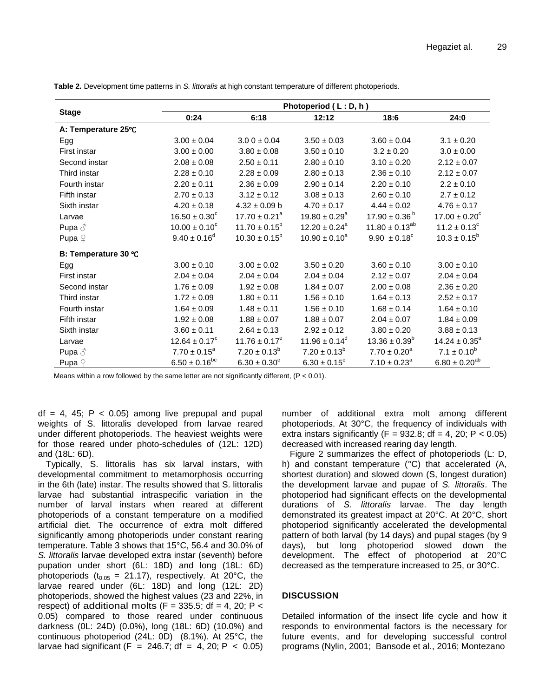|                      | Photoperiod (L:D, h)     |                          |                               |                              |                              |  |  |  |
|----------------------|--------------------------|--------------------------|-------------------------------|------------------------------|------------------------------|--|--|--|
| <b>Stage</b>         | 0:24                     | 6:18                     | 12:12                         | 18:6                         | 24:0                         |  |  |  |
| A: Temperature 25°C  |                          |                          |                               |                              |                              |  |  |  |
| Egg                  | $3.00 \pm 0.04$          | $3.00 \pm 0.04$          | $3.50 \pm 0.03$               | $3.60 \pm 0.04$              | $3.1 \pm 0.20$               |  |  |  |
| First instar         | $3.00 \pm 0.00$          | $3.80 \pm 0.08$          | $3.50 \pm 0.10$               | $3.2 \pm 0.20$               | $3.0 \pm 0.00$               |  |  |  |
| Second instar        | $2.08 \pm 0.08$          | $2.50 \pm 0.11$          | $2.80 \pm 0.10$               | $3.10 \pm 0.20$              | $2.12 \pm 0.07$              |  |  |  |
| Third instar         | $2.28 \pm 0.10$          | $2.28 \pm 0.09$          | $2.80 \pm 0.13$               | $2.36 \pm 0.10$              | $2.12 \pm 0.07$              |  |  |  |
| Fourth instar        | $2.20 \pm 0.11$          | $2.36 \pm 0.09$          | $2.90 \pm 0.14$               | $2.20 \pm 0.10$              | $2.2 \pm 0.10$               |  |  |  |
| Fifth instar         | $2.70 \pm 0.13$          | $3.12 \pm 0.12$          | $3.08 \pm 0.13$               | $2.60 \pm 0.10$              | $2.7 \pm 0.12$               |  |  |  |
| Sixth instar         | $4.20 \pm 0.18$          | $4.32 \pm 0.09$ b        | $4.70 \pm 0.17$               | $4.44 \pm 0.02$              | $4.76 \pm 0.17$              |  |  |  |
| Larvae               | $16.50 \pm 0.30^{\circ}$ | $17.70 \pm 0.21^a$       | $19.80 \pm 0.29$ <sup>a</sup> | $17.90 \pm 0.36^{\circ}$     | $17.00 \pm 0.20^{\circ}$     |  |  |  |
| Pupa $\delta$        | $10.00 \pm 0.10^{\circ}$ | $11.70 \pm 0.15^b$       | $12.20 \pm 0.24$ <sup>a</sup> | $11.80 \pm 0.13^{ab}$        | $11.2 \pm 0.13$ <sup>c</sup> |  |  |  |
| Pupa $\mathcal{Q}$   | $9.40 \pm 0.16^d$        | $10.30 \pm 0.15^{\circ}$ | $10.90 \pm 0.10^a$            | $9.90 \pm 0.18^c$            | $10.3 \pm 0.15^{\circ}$      |  |  |  |
| B: Temperature 30 °C |                          |                          |                               |                              |                              |  |  |  |
| Egg                  | $3.00 \pm 0.10$          | $3.00 \pm 0.02$          | $3.50 \pm 0.20$               | $3.60 \pm 0.10$              | $3.00 \pm 0.10$              |  |  |  |
| First instar         | $2.04 \pm 0.04$          | $2.04 \pm 0.04$          | $2.04 \pm 0.04$               | $2.12 \pm 0.07$              | $2.04 \pm 0.04$              |  |  |  |
| Second instar        | $1.76 \pm 0.09$          | $1.92 \pm 0.08$          | $1.84 \pm 0.07$               | $2.00 \pm 0.08$              | $2.36 \pm 0.20$              |  |  |  |
| Third instar         | $1.72 \pm 0.09$          | $1.80 \pm 0.11$          | $1.56 \pm 0.10$               | $1.64 \pm 0.13$              | $2.52 \pm 0.17$              |  |  |  |
| Fourth instar        | $1.64 \pm 0.09$          | $1.48 \pm 0.11$          | $1.56 \pm 0.10$               | $1.68 \pm 0.14$              | $1.64 \pm 0.10$              |  |  |  |
| Fifth instar         | $1.92 \pm 0.08$          | $1.88 \pm 0.07$          | $1.88 \pm 0.07$               | $2.04 \pm 0.07$              | $1.84 \pm 0.09$              |  |  |  |
| Sixth instar         | $3.60\pm0.11$            | $2.64 \pm 0.13$          | $2.92 \pm 0.12$               | $3.80 \pm 0.20$              | $3.88 \pm 0.13$              |  |  |  |
| Larvae               | $12.64 \pm 0.17^c$       | $11.76 \pm 0.17^e$       | $11.96 \pm 0.14^d$            | $13.36 \pm 0.39^b$           | $14.24 \pm 0.35^a$           |  |  |  |
| Pupa $\delta$        | $7.70 \pm 0.15^a$        | $7.20 \pm 0.13^b$        | $7.20 \pm 0.13^b$             | $7.70 \pm 0.20^a$            | $7.1 \pm 0.10^b$             |  |  |  |
| Pupa $\mathcal Q$    | $6.50 \pm 0.16^{bc}$     | $6.30 \pm 0.30^{\circ}$  | $6.30 \pm 0.15^c$             | $7.10 \pm 0.23$ <sup>a</sup> | $6.80 \pm 0.20^{ab}$         |  |  |  |

**Table 2.** Development time patterns in *S. littoralis* at high constant temperature of different photoperiods.

Means within a row followed by the same letter are not significantly different, (P < 0.01).

 $df = 4$ , 45;  $P < 0.05$ ) among live prepupal and pupal weights of S. littoralis developed from larvae reared under different photoperiods. The heaviest weights were for those reared under photo-schedules of (12L: 12D) and (18L: 6D).

Typically, S. littoralis has six larval instars, with developmental commitment to metamorphosis occurring in the 6th (late) instar. The results showed that S. littoralis larvae had substantial intraspecific variation in the number of larval instars when reared at different photoperiods of a constant temperature on a modified artificial diet. The occurrence of extra molt differed significantly among photoperiods under constant rearing temperature. Table 3 shows that 15°C, 56.4 and 30.0% of *S. littoralis* larvae developed extra instar (seventh) before pupation under short (6L: 18D) and long (18L: 6D) photoperiods ( $t_{0.05}$  = 21.17), respectively. At 20°C, the larvae reared under (6L: 18D) and long (12L: 2D) photoperiods, showed the highest values (23 and 22%, in respect) of additional molts ( $F = 335.5$ ; df = 4, 20; P < 0.05) compared to those reared under continuous darkness (0L: 24D) (0.0%), long (18L: 6D) (10.0%) and continuous photoperiod (24L: 0D) (8.1%). At 25°C, the larvae had significant (F = 246.7; df = 4, 20; P < 0.05) number of additional extra molt among different photoperiods. At 30°C, the frequency of individuals with extra instars significantly (F =  $932.8$ ; df = 4, 20; P < 0.05) decreased with increased rearing day length.

Figure 2 summarizes the effect of photoperiods (L: D, h) and constant temperature (°C) that accelerated (A, shortest duration) and slowed down (S, longest duration) the development larvae and pupae of *S. littoralis*. The photoperiod had significant effects on the developmental durations of *S. littoralis* larvae. The day length demonstrated its greatest impact at 20°C. At 20°C, short photoperiod significantly accelerated the developmental pattern of both larval (by 14 days) and pupal stages (by 9 days), but long photoperiod slowed down the development. The effect of photoperiod at 20°C decreased as the temperature increased to 25, or 30°C.

## **DISCUSSION**

Detailed information of the insect life cycle and how it responds to environmental factors is the necessary for future events, and for developing successful control programs (Nylin, 2001; Bansode et al., 2016; Montezano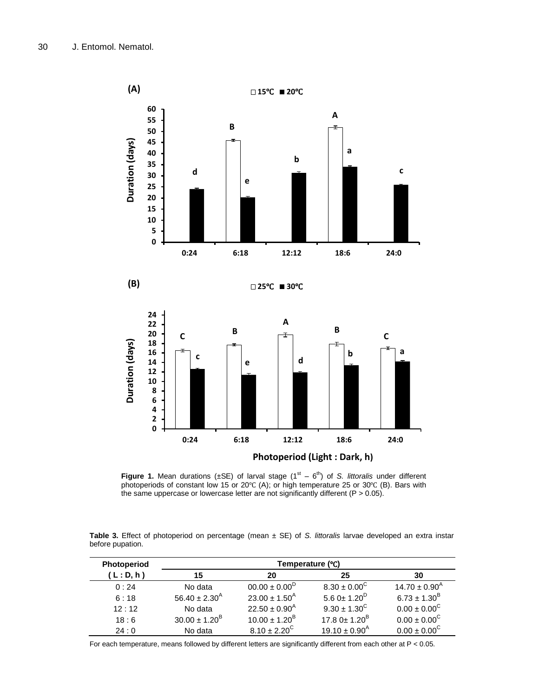

**Figure 1.** Mean durations ( $\pm$ SE) of larval stage ( $1<sup>st</sup> - 6<sup>th</sup>$ ) of *S. littoralis* under different photoperiods of constant low 15 or 20℃ (A); or high temperature 25 or 30℃ (B). Bars with the same uppercase or lowercase letter are not significantly different  $(P > 0.05)$ .

|                  | <b>Table 3.</b> Effect of photoperiod on percentage (mean $\pm$ SE) of S. littoralis larvae developed an extra instar |  |  |  |  |  |  |
|------------------|-----------------------------------------------------------------------------------------------------------------------|--|--|--|--|--|--|
| before pupation. |                                                                                                                       |  |  |  |  |  |  |

| Photoperiod | Temperature (°C)            |                               |                               |                             |  |  |  |
|-------------|-----------------------------|-------------------------------|-------------------------------|-----------------------------|--|--|--|
| (L: D, h)   | 15                          | 20                            | 25                            | 30                          |  |  |  |
| 0:24        | No data                     | $00.00 \pm 0.00^D$            | $8.30 \pm 0.00^{\circ}$       | $14.70 \pm 0.90^{\text{A}}$ |  |  |  |
| 6:18        | $56.40 \pm 2.30^{\text{A}}$ | $23.00 \pm 1.50$ <sup>A</sup> | 5.6 0 $\pm$ 1.20 <sup>D</sup> | $6.73 \pm 1.30^{\text{B}}$  |  |  |  |
| 12:12       | No data                     | $22.50 \pm 0.90^{\text{A}}$   | $9.30 \pm 1.30^{\circ}$       | $0.00 \pm 0.00^{\circ}$     |  |  |  |
| 18:6        | $30.00 \pm 1.20^{\text{B}}$ | $10.00 \pm 1.20^{\text{B}}$   | 17.8 $0 \pm 1.20^B$           | $0.00 \pm 0.00^{\circ}$     |  |  |  |
| 24:0        | No data                     | $8.10 \pm 2.20^{\circ}$       | $19.10 \pm 0.90^{\text{A}}$   | $0.00 \pm 0.00^{\circ}$     |  |  |  |

For each temperature, means followed by different letters are significantly different from each other at  $P < 0.05$ .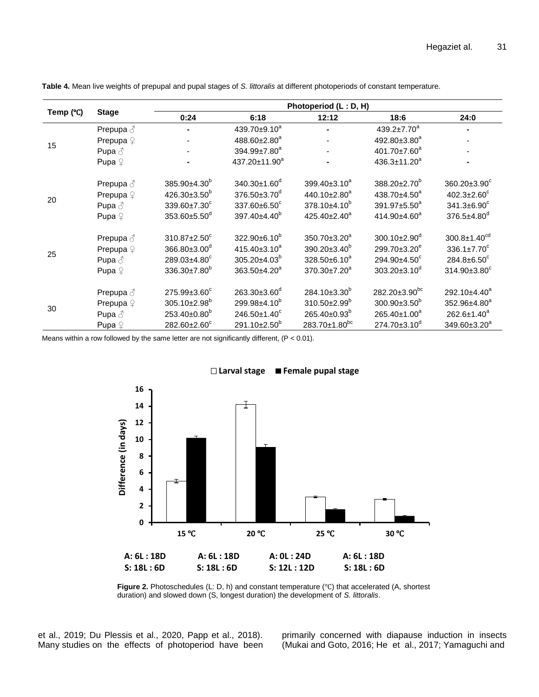| Temp (°C) | <b>Stage</b>         | Photoperiod (L: D, H)          |                                |                                |                                |                                |  |  |  |
|-----------|----------------------|--------------------------------|--------------------------------|--------------------------------|--------------------------------|--------------------------------|--|--|--|
|           |                      | 0:24                           | 6:18                           | 12:12                          | 18:6                           | 24:0                           |  |  |  |
| 15        | Prepupa ♂            |                                | 439.70±9.10 <sup>a</sup>       |                                | $439.2 \pm 7.70^a$             |                                |  |  |  |
|           | Prepupa <sup>2</sup> |                                | 488.60±2.80 <sup>a</sup>       |                                | 492.80±3.80 <sup>a</sup>       |                                |  |  |  |
|           | Pupa $\delta$        |                                | 394.99±7.80 <sup>a</sup>       |                                | 401.70±7.60 <sup>a</sup>       |                                |  |  |  |
|           | Pupa $\varphi$       |                                | 437.20±11.90 <sup>a</sup>      | $\blacksquare$                 | $436.3 \pm 11.20^a$            |                                |  |  |  |
| 20        | Prepupa ♂            | 385.90±4.30 <sup>b</sup>       | $340.30 \pm 1.60$ <sup>d</sup> | 399.40±3.10 <sup>a</sup>       | $388.20 \pm 2.70^b$            | $360.20 \pm 3.90^c$            |  |  |  |
|           | Prepupa <sup>2</sup> | $426.30\pm3.50^{b}$            | $376.50 \pm 3.70^{\circ}$      | $440.10 \pm 2.80$ <sup>a</sup> | 438.70 $\pm$ 4.50 <sup>a</sup> | 402.3 $\pm$ 2.60 $\textdegree$ |  |  |  |
|           | Pupa $\delta$        | 337.60±6.50°<br>339.60±7.30°   |                                | $378.10\pm4.10^{b}$            | 391.97±5.50 <sup>a</sup>       | 341.3±6.90°                    |  |  |  |
|           | Pupa $\mathcal{Q}$   | 353.60±5.50 <sup>d</sup>       | 397.40±4.40 <sup>b</sup>       | $425.40 \pm 2.40^a$            | 414.90 $\pm$ 4.60 <sup>a</sup> | 376.5±4.80 <sup>d</sup>        |  |  |  |
|           | Prepupa $\delta$     | 310.87±2.50°                   | $322.90\pm6.10^{b}$            | $350.70 \pm 3.20^{\circ}$      | $300.10 \pm 2.90$ <sup>d</sup> | $300.8 \pm 1.40^{cd}$          |  |  |  |
|           | Prepupa $\varphi$    | 366.80±3.00 <sup>d</sup>       | 415.40±3.10 <sup>a</sup>       | $390.20 \pm 3.40^b$            | 299.70±3.20 <sup>e</sup>       | $336.1 \pm 7.70^c$             |  |  |  |
| 25        | Pupa $\delta$        | 289.03±4.80°                   | $305.20 \pm 4.03^b$            | 328.50±6.10 <sup>a</sup>       | 294.90±4.50°                   | $284.8 \pm 6.50$ <sup>c</sup>  |  |  |  |
|           | Pupa $\varphi$       | 336.30±7.80 <sup>b</sup>       | 363.50±4.20 <sup>a</sup>       | $370.30 \pm 7.20^a$            | $303.20 \pm 3.10^d$            | $314.90 \pm 3.80$ <sup>c</sup> |  |  |  |
| 30        | Prepupa ♂            | 275.99±3.60°                   | 263.30±3.60 <sup>d</sup>       | $284.10\pm3.30^{b}$            | 282.20±3.90 <sup>bc</sup>      | 292.10±4.40 <sup>a</sup>       |  |  |  |
|           | Prepupa <sup>2</sup> | $305.10 \pm 2.98$ <sup>b</sup> | 299.98±4.10 <sup>b</sup>       | $310.50 \pm 2.99^b$            | $300.90 \pm 3.50^{\circ}$      | 352.96±4.80 <sup>a</sup>       |  |  |  |
|           | Pupa $\delta$        | 253.40±0.80 <sup>b</sup>       | 246.50±1.40°                   | $265.40\pm0.93^b$              | $265.40 \pm 1.00^a$            | $262.6 \pm 1.40^a$             |  |  |  |
|           | Pupa $\varphi$       | 282.60±2.60°                   | 291.10±2.50 <sup>b</sup>       | 283.70±1.80 <sup>bc</sup>      | $274.70 \pm 3.10^d$            | $349.60 \pm 3.20^a$            |  |  |  |

**Table 4.** Mean live weights of prepupal and pupal stages of *S. littoralis* at different photoperiods of constant temperature.

Means within a row followed by the same letter are not significantly different, (P < 0.01).



**Larval stage Female pupal stage**

**Figure 2.** Photoschedules (L: D, h) and constant temperature (℃) that accelerated (A, shortest duration) and slowed down (S, longest duration) the development of *S. littoralis*.

et al., 2019; Du Plessis et al., 2020, Papp et al., 2018). Many studies on the effects of photoperiod have been primarily concerned with diapause induction in insects (Mukai and Goto, 2016; He et al., 2017; Yamaguchi and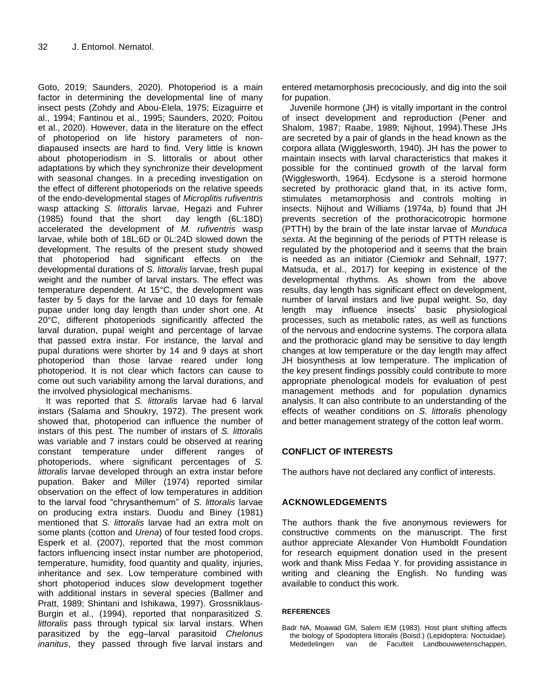Goto, 2019; Saunders, 2020). Photoperiod is a main factor in determining the developmental line of many insect pests (Zohdy and Abou-Elela, 1975; Eizaguirre et al., 1994; Fantinou et al., 1995; Saunders, 2020; Poitou et al., 2020). However, data in the literature on the effect of photoperiod on life history parameters of nondiapaused insects are hard to find. Very little is known about photoperiodism in S. littoralis or about other adaptations by which they synchronize their development with seasonal changes. In a preceding investigation on the effect of different photoperiods on the relative speeds of the endo-developmental stages of *Microplitis rufiventris* wasp attacking *S. littoralis* larvae, Hegazi and Fuhrer (1985) found that the short day length (6L:18D) accelerated the development of *M. rufiventris* wasp larvae, while both of 18L:6D or 0L:24D slowed down the development. The results of the present study showed that photoperiod had significant effects on the developmental durations of *S. littoralis* larvae, fresh pupal weight and the number of larval instars. The effect was temperature dependent. At 15°C, the development was faster by 5 days for the larvae and 10 days for female pupae under long day length than under short one. At 20°C, different photoperiods significantly affected the larval duration, pupal weight and percentage of larvae that passed extra instar. For instance, the larval and pupal durations were shorter by 14 and 9 days at short photoperiod than those larvae reared under long photoperiod. It is not clear which factors can cause to come out such variability among the larval durations, and the involved physiological mechanisms.

It was reported that *S. littoralis* larvae had 6 larval instars (Salama and Shoukry, 1972). The present work showed that, photoperiod can influence the number of instars of this pest. The number of instars of *S. littoralis*  was variable and 7 instars could be observed at rearing constant temperature under different ranges of photoperiods, where significant percentages of *S. littoralis* larvae developed through an extra instar before pupation. Baker and Miller (1974) reported similar observation on the effect of low temperatures in addition to the larval food "chrysanthemum" of *S. littoralis* larvae on producing extra instars. Duodu and Biney (1981) mentioned that *S. littoralis* larvae had an extra molt on some plants (cotton and *Urena*) of four tested food crops. Esperk et al. (2007), reported that the most common factors influencing insect instar number are photoperiod, temperature, humidity, food quantity and quality, injuries, inheritance and sex. Low temperature combined with short photoperiod induces slow development together with additional instars in several species (Ballmer and Pratt, 1989; Shintani and Ishikawa, 1997). Grossniklaus-Burgin et al., (1994), reported that nonparasitized *S. littoralis* pass through typical six larval instars. When parasitized by the egg–larval parasitoid *Chelonus inanitus*, they passed through five larval instars and

entered metamorphosis precociously, and dig into the soil for pupation.

Juvenile hormone (JH) is vitally important in the control of insect development and reproduction (Pener and Shalom, 1987; Raabe, 1989; Nijhout, 1994).These JHs are secreted by a pair of glands in the head known as the corpora allata (Wigglesworth, 1940). JH has the power to maintain insects with larval characteristics that makes it possible for the continued growth of the larval form (Wigglesworth, 1964). Ecdysone is a steroid hormone secreted by prothoracic gland that, in its active form, stimulates metamorphosis and controls molting in insects. Nijhout and Williams (1974a, b) found that JH prevents secretion of the prothoracicotropic hormone (PTTH) by the brain of the late instar larvae of *Munduca sexta*. At the beginning of the periods of PTTH release is regulated by the photoperiod and it seems that the brain is needed as an initiator (Ciemiokr and Sehnalf, 1977; Matsuda, et al., 2017) for keeping in existence of the developmental rhythms. As shown from the above results, day length has significant effect on development, number of larval instars and live pupal weight. So, day length may influence insects' basic physiological processes, such as metabolic rates, as well as functions of the nervous and endocrine systems. The corpora allata and the prothoracic gland may be sensitive to day length changes at low temperature or the day length may affect JH biosynthesis at low temperature. The implication of the key present findings possibly could contribute to more appropriate phenological models for evaluation of pest management methods and for population dynamics analysis. It can also contribute to an understanding of the effects of weather conditions on *S. littoralis* phenology and better management strategy of the cotton leaf worm.

# **CONFLICT OF INTERESTS**

The authors have not declared any conflict of interests.

# **ACKNOWLEDGEMENTS**

The authors thank the five anonymous reviewers for constructive comments on the manuscript. The first author appreciate Alexander Von Humboldt Foundation for research equipment donation used in the present work and thank Miss Fedaa Y. for providing assistance in writing and cleaning the English. No funding was available to conduct this work.

#### **REFERENCES**

Badr NA, Moawad GM, Salem IEM (1983). Host plant shifting affects the biology of Spodoptera littoralis (Boisd.) (Lepidoptera: Noctuidae). Mededelingen van de Faculteit Landbouwwetenschappen,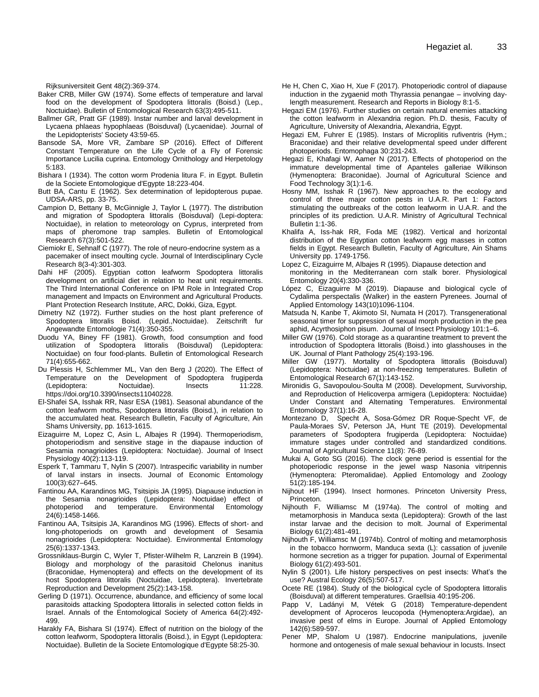Rijksuniversiteit Gent 48(2):369-374.

- Baker CRB, Miller GW (1974). Some effects of temperature and larval food on the development of Spodoptera littoralis (Boisd.) (Lep., Noctuidae). Bulletin of Entomological Research 63(3):495-511.
- Ballmer GR, Pratt GF (1989). Instar number and larval development in Lycaena phlaeas hypophlaeas (Boisduval) (Lycaenidae). Journal of the Lepidopterists' Society 43:59-65.
- Bansode SA, More VR, Zambare SP (2016). Effect of Different Constant Temperature on the Life Cycle of a Fly of Forensic Importance Lucilia cuprina. Entomology Ornithology and Herpetology 5:183.
- Bishara I (1934). The cotton worm Prodenia litura F. in Egypt. Bulletin de la Societe Entomologique d'Egypte 18:223-404.

Butt BA, Cantu E (1962). Sex determination of lepidopterous pupae. UDSA-ARS, pp. 33-75.

- Campion D, Bettany B, McGinnigle J, Taylor L (1977). The distribution and migration of Spodoptera littoralis (Boisduval) (Lepi-doptera: Noctuidae), in relation to meteorology on Cyprus, interpreted from maps of pheromone trap samples. Bulletin of Entomological Research 67(3):501-522.
- Ciemiokr E, Sehnalf C (1977). The role of neuro-endocrine system as a pacemaker of insect moulting cycle. Journal of Interdisciplinary Cycle Research 8(3-4):301-303.
- Dahi HF (2005). Egyptian cotton leafworm Spodoptera littoralis development on artificial diet in relation to heat unit requirements. The Third International Conference on IPM Role in Integrated Crop management and Impacts on Environment and Agricultural Products. Plant Protection Research Institute, ARC, Dokki, Giza, Egypt.

Dimetry NZ (1972). Further studies on the host plant preference of Spodoptera littoralis Boisd. (Lepid.,Noctuidae). Zeitschrift fur Angewandte Entomologie 71(4):350-355.

- Duodu YA, Biney FF (1981). Growth, food consumption and food utilization of Spodoptera littoralis (Boisduval) (Lepidoptera: Noctuidae) on four food-plants. Bulletin of Entomological Research 71(4):655-662.
- Du Plessis H, Schlemmer ML, Van den Berg J (2020). The Effect of Temperature on the Development of Spodoptera frugiperda<br>(Lepidoptera: Noctuidae). Insects 11:228. (Lepidoptera: https://doi.org/10.3390/insects11040228.
- El-Shafei SA, Isshak RR, Nasr ESA (1981). Seasonal abundance of the cotton leafworm moths, Spodoptera littoralis (Boisd.), in relation to the accumulated heat. Research Bulletin, Faculty of Agriculture, Ain Shams University, pp. 1613-1615.
- Eizaguirre M, Lopez C, Asin L, Albajes R (1994). Thermoperiodism, photoperiodism and sensitive stage in the diapause induction of Sesamia nonagrioides (Lepidoptera: Noctuidae). Journal of Insect Physiology 40(2):113-119.
- Esperk T, Tammaru T, Nylin S (2007). Intraspecific variability in number of larval instars in insects. Journal of Economic Entomology 100(3):627–645.
- Fantinou AA, Karandinos MG, Tsitsipis JA (1995). Diapause induction in the Sesamia nonagrioides (Lepidoptera: Noctuidae) effect of photoperiod and temperature. Environmental Entomology and temperature. Environmental 24(6):1458-1466.
- Fantinou AA, Tsitsipis JA, Karandinos MG (1996). Effects of short- and long-photoperiods on growth and development of Sesamia nonagrioides (Lepidoptera: Noctuidae). Environmental Entomology 25(6):1337-1343.
- Grossniklaus-Burgin C, Wyler T, Pfister-Wilhelm R, Lanzrein B (1994). Biology and morphology of the parasitoid Chelonus inanitus (Braconidae, Hymenoptera) and effects on the development of its host Spodoptera littoralis (Noctuidae, Lepidoptera). Invertebrate Reproduction and Development 25(2):143-158.
- Gerling D (1971). Occurrence, abundance, and efficiency of some local parasitoids attacking Spodoptera littoralis in selected cotton fields in Israel. Annals of the Entomological Society of America 64(2):492- 499.
- Harakly FA, Bishara SI (1974). Effect of nutrition on the biology of the cotton leafworm, Spodoptera littoralis (Boisd.), in Egypt (Lepidoptera: Noctuidae). Bulletin de la Societe Entomologique d'Egypte 58:25-30.
- He H, Chen C, Xiao H, Xue F (2017). Photoperiodic control of diapause induction in the zygaenid moth Thyrassia penangae – involving daylength measurement. Research and Reports in Biology 8:1-5.
- Hegazi EM (1976). Further studies on certain natural enemies attacking the cotton leafworm in Alexandria region. Ph.D. thesis, Faculty of Agriculture, University of Alexandria, Alexandria, Egypt.
- Hegazi EM, Fuhrer E (1985). Instars of Microplitis rufiventris (Hym.; Braconidae) and their relative developmental speed under different photoperiods. Entomophaga 30:231-243.
- Hegazi E, Khafagi W, Aamer N (2017). Effects of photoperiod on the immature developmental time of Apanteles galleriae Wilkinson (Hymenoptera: Braconidae). Journal of Agricultural Science and Food Technology 3(1):1-6.
- Hosny MM, Isshak R (1967). New approaches to the ecology and control of three major cotton pests in U.A.R. Part 1: Factors stimulating the outbreaks of the cotton leafworm in U.A.R. and the principles of its prediction. U.A.R. Ministry of Agricultural Technical Bulletin 1:1-36.
- Khalifa A, Iss-hak RR, Foda ME (1982). Vertical and horizontal distribution of the Egyptian cotton leafworm egg masses in cotton fields in Egypt. Research Bulletin, Faculty of Agriculture, Ain Shams University pp. 1749-1756.

Lopez C, Eizaguirre M, Albajes R (1995). Diapause detection and monitoring in the Mediterranean corn stalk borer. Physiological Entomology 20(4):330-336.

- López C, Eizaguirre M (2019). Diapause and biological cycle of Cydalima perspectalis (Walker) in the eastern Pyrenees. Journal of Applied Entomology 143(10)1096-1104.
- Matsuda N, Kanbe T, Akimoto SI, Numata H (2017). Transgenerational seasonal timer for suppression of sexual morph production in the pea aphid, Acyrthosiphon pisum. Journal of Insect Physiology 101:1–6.
- Miller GW (1976). Cold storage as a quarantine treatment to prevent the introduction of Spodoptera littoralis (Boisd.) into glasshouses in the UK. Journal of Plant Pathology 25(4):193-196.
- Miller GW (1977). Mortality of Spodoptera littoralis (Boisduval) (Lepidoptera: Noctuidae) at non-freezing temperatures. Bulletin of Entomological Research 67(1):143-152.
- Mironidis G, Savopoulou-Soulta M (2008). Development, Survivorship, and Reproduction of Helicoverpa armigera (Lepidoptera: Noctuidae) Under Constant and Alternating Temperatures. Environmental Entomology 37(1):16-28.
- Montezano D, Specht A, Sosa-Gómez DR Roque-Specht VF, de Paula-Moraes SV, Peterson JA, Hunt TE (2019). Developmental parameters of Spodoptera frugiperda (Lepidoptera: Noctuidae) immature stages under controlled and standardized conditions. Journal of Agricultural Science 11(8): 76-89.
- Mukai A, Goto SG (2016). The clock gene period is essential for the photoperiodic response in the jewel wasp Nasonia vitripennis (Hymenoptera: Pteromalidae). Applied Entomology and Zoology 51(2):185-194.
- Nijhout HF (1994). Insect hormones. Princeton University Press, Princeton.
- Nijhouth F, Williamsc M (1974a). The control of molting and metamorphosis in Manduca sexta (Lepidoptera): Growth of the last instar larvae and the decision to molt. Journal of Experimental Biology 61(2):481-491.
- Nijhouth F, Williamsc M (1974b). Control of molting and metamorphosis in the tobacco hornworm, Manduca sexta (L): cassation of juvenile hormone secretion as a trigger for pupation. Journal of Experimental Biology 61(2):493-501.
- Nylin S (2001). Life history perspectives on pest insects: What's the use? Austral Ecology 26(5):507-517.
- Ocete RE (1984). Study of the biological cycle of Spodoptera littoralis (Boisduval) at different temperatures. Graellsia 40:195-206.
- Papp V, Ladányi M, Vétek G (2018) Temperature-dependent development of Aproceros leucopoda (Hymenoptera:Argidae), an invasive pest of elms in Europe. Journal of Applied Entomology 142(6):589-597.
- Pener MP, Shalom U (1987). Endocrine manipulations, juvenile hormone and ontogenesis of male sexual behaviour in locusts. Insect